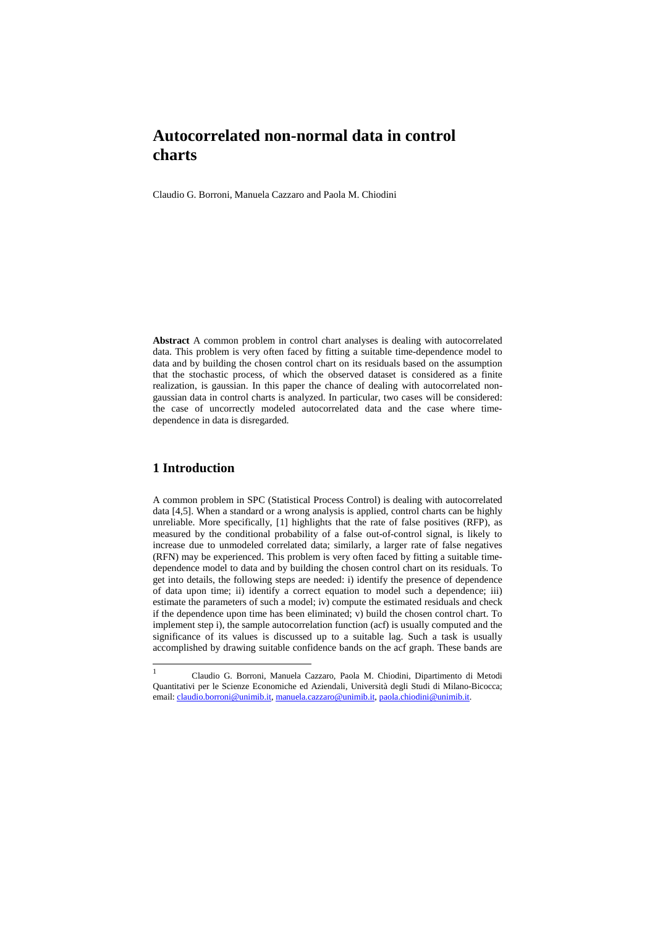## **Autocorrelated non-normal data in control charts**

Claudio G. Borroni, Manuela Cazzaro and Paola M. Chiodini

**Abstract** A common problem in control chart analyses is dealing with autocorrelated data. This problem is very often faced by fitting a suitable time-dependence model to data and by building the chosen control chart on its residuals based on the assumption that the stochastic process, of which the observed dataset is considered as a finite realization, is gaussian. In this paper the chance of dealing with autocorrelated nongaussian data in control charts is analyzed. In particular, two cases will be considered: the case of uncorrectly modeled autocorrelated data and the case where timedependence in data is disregarded.

## **1 Introduction**

A common problem in SPC (Statistical Process Control) is dealing with autocorrelated data [4,5]. When a standard or a wrong analysis is applied, control charts can be highly unreliable. More specifically, [1] highlights that the rate of false positives (RFP), as measured by the conditional probability of a false out-of-control signal, is likely to increase due to unmodeled correlated data; similarly, a larger rate of false negatives (RFN) may be experienced. This problem is very often faced by fitting a suitable timedependence model to data and by building the chosen control chart on its residuals. To get into details, the following steps are needed: i) identify the presence of dependence of data upon time; ii) identify a correct equation to model such a dependence; iii) estimate the parameters of such a model; iv) compute the estimated residuals and check if the dependence upon time has been eliminated; v) build the chosen control chart. To implement step i), the sample autocorrelation function (acf) is usually computed and the significance of its values is discussed up to a suitable lag. Such a task is usually accomplished by drawing suitable confidence bands on the acf graph. These bands are

<sup>|&</sup>lt;br>|<br>| Claudio G. Borroni, Manuela Cazzaro, Paola M. Chiodini, Dipartimento di Metodi Quantitativi per le Scienze Economiche ed Aziendali, Università degli Studi di Milano-Bicocca; email: claudio.borroni@unimib.it, manuela.cazzaro@unimib.it, paola.chiodini@unimib.it.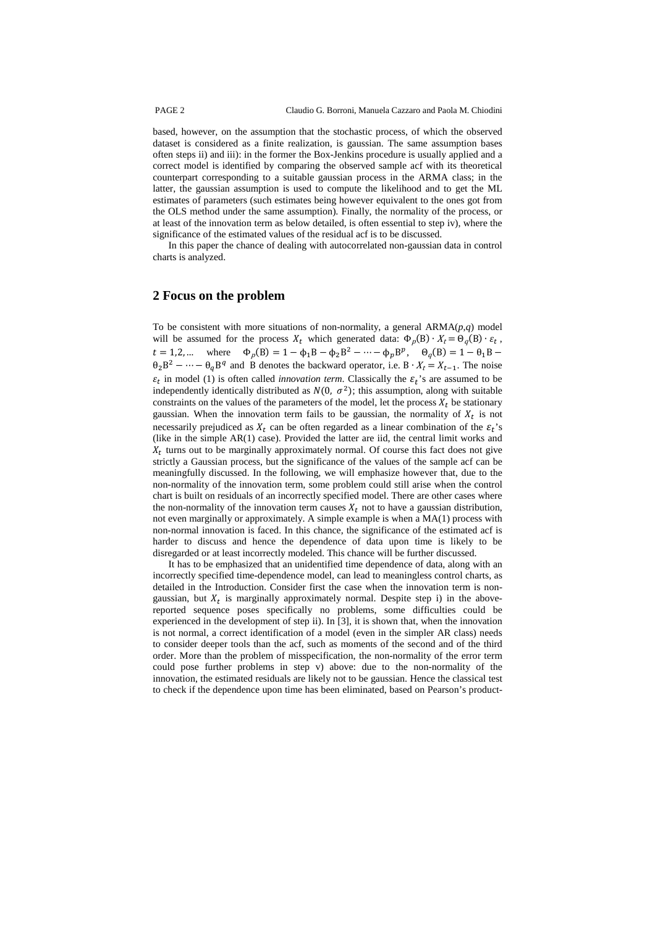based, however, on the assumption that the stochastic process, of which the observed dataset is considered as a finite realization, is gaussian. The same assumption bases often steps ii) and iii): in the former the Box-Jenkins procedure is usually applied and a correct model is identified by comparing the observed sample acf with its theoretical counterpart corresponding to a suitable gaussian process in the ARMA class; in the latter, the gaussian assumption is used to compute the likelihood and to get the ML estimates of parameters (such estimates being however equivalent to the ones got from the OLS method under the same assumption). Finally, the normality of the process, or at least of the innovation term as below detailed, is often essential to step iv), where the significance of the estimated values of the residual acf is to be discussed.

In this paper the chance of dealing with autocorrelated non-gaussian data in control charts is analyzed.

## **2 Focus on the problem**

To be consistent with more situations of non-normality, a general ARMA(*p*,*q*) model will be assumed for the process  $X_t$  which generated data:  $\Phi_p(B) \cdot X_t = \Theta_q(B) \cdot \varepsilon_t$ ,  $t = 1,2,...$  where  $\Phi_p(B) = 1 - \phi_1 B - \phi_2 B^2 - \cdots - \phi_p B^p$ ,  $\Theta_q(B) = 1 - \theta_1 B - \phi_2 B^2$  $\theta_2 B^2 - \cdots - \theta_q B^q$  and B denotes the backward operator, i.e.  $B \cdot X_t = X_{t-1}$ . The noise  $\varepsilon_t$  in model (1) is often called *innovation term*. Classically the  $\varepsilon_t$ 's are assumed to be independently identically distributed as  $N(0, \sigma^2)$ ; this assumption, along with suitable constraints on the values of the parameters of the model, let the process  $X_t$  be stationary gaussian. When the innovation term fails to be gaussian, the normality of  $X_t$  is not necessarily prejudiced as  $X_t$  can be often regarded as a linear combination of the  $\varepsilon_t$ 's (like in the simple AR(1) case). Provided the latter are iid, the central limit works and  $X_t$  turns out to be marginally approximately normal. Of course this fact does not give strictly a Gaussian process, but the significance of the values of the sample acf can be meaningfully discussed. In the following, we will emphasize however that, due to the non-normality of the innovation term, some problem could still arise when the control chart is built on residuals of an incorrectly specified model. There are other cases where the non-normality of the innovation term causes  $X_t$  not to have a gaussian distribution, not even marginally or approximately. A simple example is when a  $MA(1)$  process with non-normal innovation is faced. In this chance, the significance of the estimated acf is harder to discuss and hence the dependence of data upon time is likely to be disregarded or at least incorrectly modeled. This chance will be further discussed.

It has to be emphasized that an unidentified time dependence of data, along with an incorrectly specified time-dependence model, can lead to meaningless control charts, as detailed in the Introduction. Consider first the case when the innovation term is nongaussian, but  $X_t$  is marginally approximately normal. Despite step i) in the abovereported sequence poses specifically no problems, some difficulties could be experienced in the development of step ii). In [3], it is shown that, when the innovation is not normal, a correct identification of a model (even in the simpler AR class) needs to consider deeper tools than the acf, such as moments of the second and of the third order. More than the problem of misspecification, the non-normality of the error term could pose further problems in step v) above: due to the non-normality of the innovation, the estimated residuals are likely not to be gaussian. Hence the classical test to check if the dependence upon time has been eliminated, based on Pearson's product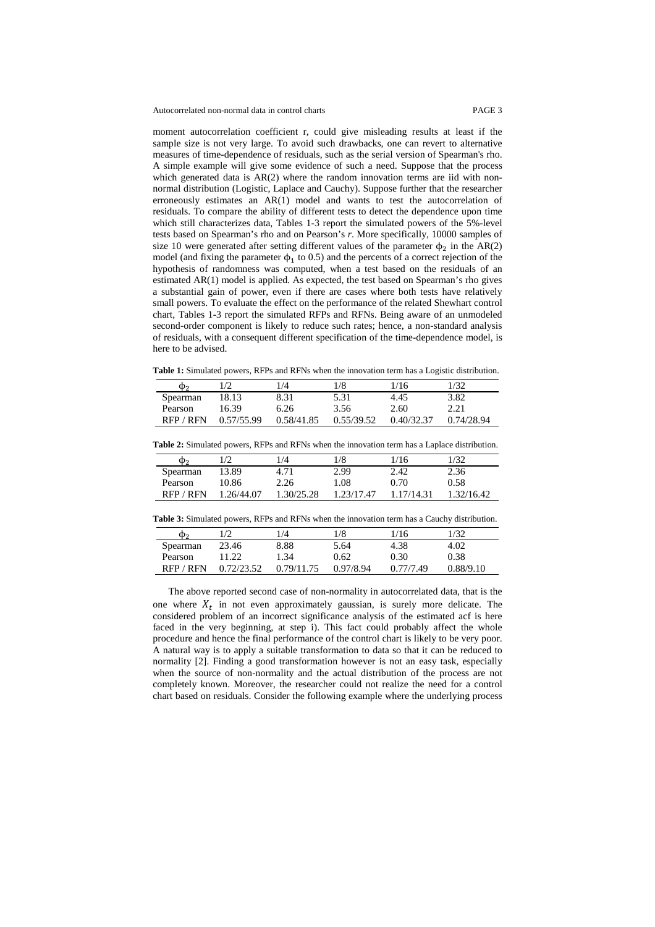Autocorrelated non-normal data in control charts PAGE 3

moment autocorrelation coefficient r, could give misleading results at least if the sample size is not very large. To avoid such drawbacks, one can revert to alternative measures of time-dependence of residuals, such as the serial version of Spearman's rho. A simple example will give some evidence of such a need. Suppose that the process which generated data is AR(2) where the random innovation terms are iid with nonnormal distribution (Logistic, Laplace and Cauchy). Suppose further that the researcher erroneously estimates an AR(1) model and wants to test the autocorrelation of residuals. To compare the ability of different tests to detect the dependence upon time which still characterizes data, Tables 1-3 report the simulated powers of the 5%-level tests based on Spearman's rho and on Pearson's *r*. More specifically, 10000 samples of size 10 were generated after setting different values of the parameter  $\phi_2$  in the AR(2) model (and fixing the parameter  $\phi_1$  to 0.5) and the percents of a correct rejection of the hypothesis of randomness was computed, when a test based on the residuals of an estimated AR(1) model is applied. As expected, the test based on Spearman's rho gives a substantial gain of power, even if there are cases where both tests have relatively small powers. To evaluate the effect on the performance of the related Shewhart control chart, Tables 1-3 report the simulated RFPs and RFNs. Being aware of an unmodeled second-order component is likely to reduce such rates; hence, a non-standard analysis of residuals, with a consequent different specification of the time-dependence model, is here to be advised.

**Table 1:** Simulated powers, RFPs and RFNs when the innovation term has a Logistic distribution.

| ወ›       |            | $\frac{1}{4}$ | 1/8        | 1/16       | 1/32       |
|----------|------------|---------------|------------|------------|------------|
| Spearman | 18.13      | 8.31          | 5.31       | 4.45       | 3.82       |
| Pearson  | 16.39      | 6.26          | 3.56       | 2.60       | 2.21       |
| RFP/RFN  | 0.57/55.99 | 0.58/41.85    | 0.55/39.52 | 0.40/32.37 | 0.74/28.94 |

|  | <b>Table 2:</b> Simulated powers, RFPs and RFNs when the innovation term has a Laplace distribution. |  |
|--|------------------------------------------------------------------------------------------------------|--|
|--|------------------------------------------------------------------------------------------------------|--|

| Φ٥       |            | 1/4        | 1/8        | 1/16       | 1/32       |
|----------|------------|------------|------------|------------|------------|
| Spearman | 13.89      | 4.71       | 2.99       | 2.42       | 2.36       |
| Pearson  | 10.86      | 2.26       | 1.08       | 0.70       | 0.58       |
| RFP/RFN  | 1.26/44.07 | 1.30/25.28 | 1.23/17.47 | 1.17/14.31 | 1.32/16.42 |

**Table 3:** Simulated powers, RFPs and RFNs when the innovation term has a Cauchy distribution.

| Φ٥       |            | /4         | !/8       | 1/16      | 1/32      |
|----------|------------|------------|-----------|-----------|-----------|
| Spearman | 23.46      | 8.88       | 5.64      | 4.38      | 4.02      |
| Pearson  | 11.22      | 1.34       | 0.62      | 0.30      | 0.38      |
| RFP/RFN  | 0.72/23.52 | 0.79/11.75 | 0.97/8.94 | 0.77/7.49 | 0.88/9.10 |

The above reported second case of non-normality in autocorrelated data, that is the one where  $X_t$  in not even approximately gaussian, is surely more delicate. The considered problem of an incorrect significance analysis of the estimated acf is here faced in the very beginning, at step i). This fact could probably affect the whole procedure and hence the final performance of the control chart is likely to be very poor. A natural way is to apply a suitable transformation to data so that it can be reduced to normality [2]. Finding a good transformation however is not an easy task, especially when the source of non-normality and the actual distribution of the process are not completely known. Moreover, the researcher could not realize the need for a control chart based on residuals. Consider the following example where the underlying process